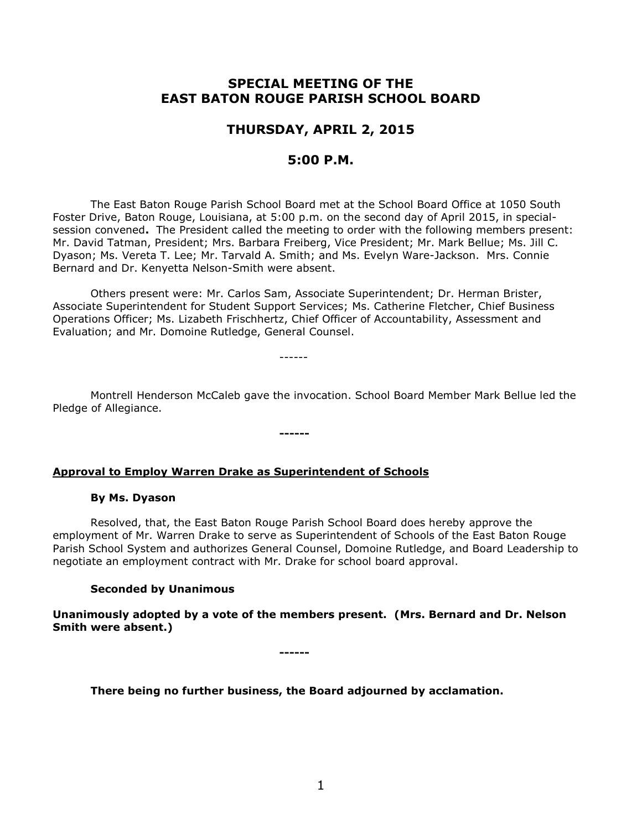# **SPECIAL MEETING OF THE EAST BATON ROUGE PARISH SCHOOL BOARD**

## **THURSDAY, APRIL 2, 2015**

## **5:00 P.M.**

The East Baton Rouge Parish School Board met at the School Board Office at 1050 South Foster Drive, Baton Rouge, Louisiana, at 5:00 p.m. on the second day of April 2015, in specialsession convened**.** The President called the meeting to order with the following members present: Mr. David Tatman, President; Mrs. Barbara Freiberg, Vice President; Mr. Mark Bellue; Ms. Jill C. Dyason; Ms. Vereta T. Lee; Mr. Tarvald A. Smith; and Ms. Evelyn Ware-Jackson. Mrs. Connie Bernard and Dr. Kenyetta Nelson-Smith were absent.

Others present were: Mr. Carlos Sam, Associate Superintendent; Dr. Herman Brister, Associate Superintendent for Student Support Services; Ms. Catherine Fletcher, Chief Business Operations Officer; Ms. Lizabeth Frischhertz, Chief Officer of Accountability, Assessment and Evaluation; and Mr. Domoine Rutledge, General Counsel.

------

Montrell Henderson McCaleb gave the invocation. School Board Member Mark Bellue led the Pledge of Allegiance.

**------**

### **Approval to Employ Warren Drake as Superintendent of Schools**

### **By Ms. Dyason**

Resolved, that, the East Baton Rouge Parish School Board does hereby approve the employment of Mr. Warren Drake to serve as Superintendent of Schools of the East Baton Rouge Parish School System and authorizes General Counsel, Domoine Rutledge, and Board Leadership to negotiate an employment contract with Mr. Drake for school board approval.

### **Seconded by Unanimous**

**Unanimously adopted by a vote of the members present. (Mrs. Bernard and Dr. Nelson Smith were absent.)**

**------**

**There being no further business, the Board adjourned by acclamation.**